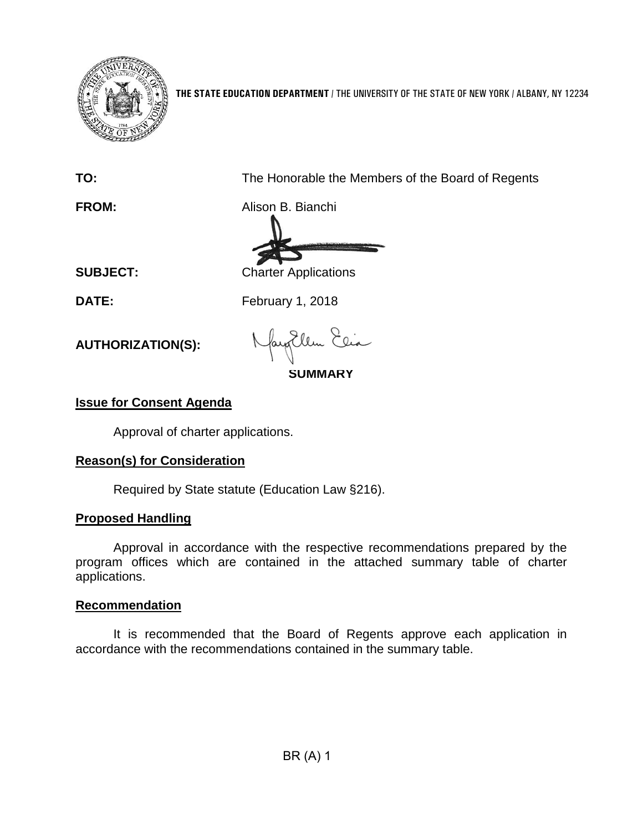

**THE STATE EDUCATION DEPARTMENT** / THE UNIVERSITY OF THE STATE OF NEW YORK / ALBANY, NY 12234

**TO:** The Honorable the Members of the Board of Regents

**FROM:** Alison B. Bianchi

**SUBJECT:** Charter Applications

**DATE:** February 1, 2018

**AUTHORIZATION(S):**

**SUMMARY**

## **Issue for Consent Agenda**

Approval of charter applications.

## **Reason(s) for Consideration**

Required by State statute (Education Law §216).

## **Proposed Handling**

Approval in accordance with the respective recommendations prepared by the program offices which are contained in the attached summary table of charter applications.

## **Recommendation**

It is recommended that the Board of Regents approve each application in accordance with the recommendations contained in the summary table.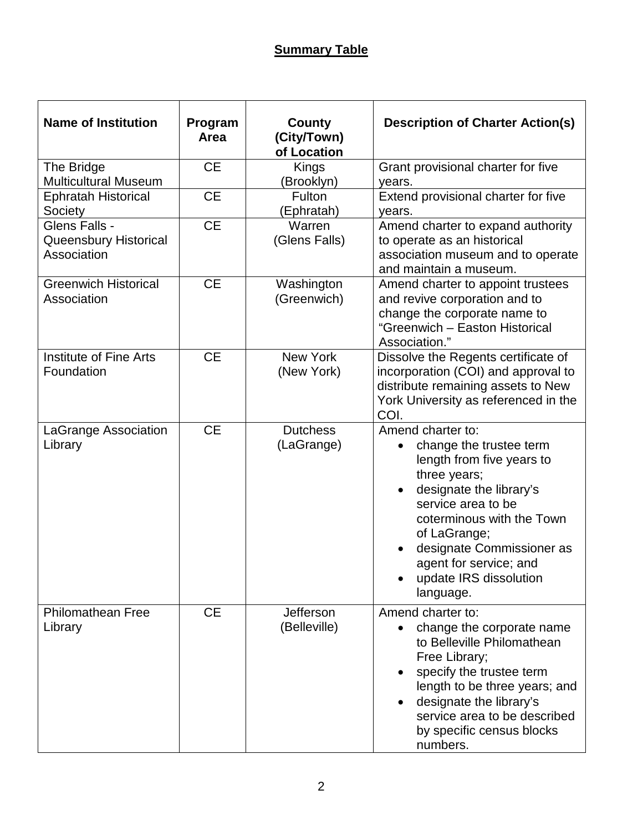| <b>Name of Institution</b>                            | Program<br>Area | County<br>(City/Town)<br>of Location | <b>Description of Charter Action(s)</b>                                                                                                                                                                                                                                               |
|-------------------------------------------------------|-----------------|--------------------------------------|---------------------------------------------------------------------------------------------------------------------------------------------------------------------------------------------------------------------------------------------------------------------------------------|
| The Bridge<br><b>Multicultural Museum</b>             | <b>CE</b>       | Kings<br>(Brooklyn)                  | Grant provisional charter for five<br>years.                                                                                                                                                                                                                                          |
| <b>Ephratah Historical</b><br>Society                 | <b>CE</b>       | Fulton<br>(Ephratah)                 | Extend provisional charter for five<br>years.                                                                                                                                                                                                                                         |
| Glens Falls -<br>Queensbury Historical<br>Association | <b>CE</b>       | Warren<br>(Glens Falls)              | Amend charter to expand authority<br>to operate as an historical<br>association museum and to operate<br>and maintain a museum.                                                                                                                                                       |
| <b>Greenwich Historical</b><br>Association            | <b>CE</b>       | Washington<br>(Greenwich)            | Amend charter to appoint trustees<br>and revive corporation and to<br>change the corporate name to<br>"Greenwich - Easton Historical<br>Association."                                                                                                                                 |
| Institute of Fine Arts<br>Foundation                  | <b>CE</b>       | <b>New York</b><br>(New York)        | Dissolve the Regents certificate of<br>incorporation (COI) and approval to<br>distribute remaining assets to New<br>York University as referenced in the<br>COI.                                                                                                                      |
| LaGrange Association<br>Library                       | <b>CE</b>       | <b>Dutchess</b><br>(LaGrange)        | Amend charter to:<br>change the trustee term<br>length from five years to<br>three years;<br>designate the library's<br>service area to be<br>coterminous with the Town<br>of LaGrange;<br>designate Commissioner as<br>agent for service; and<br>update IRS dissolution<br>language. |
| <b>Philomathean Free</b><br>Library                   | <b>CE</b>       | Jefferson<br>(Belleville)            | Amend charter to:<br>change the corporate name<br>$\bullet$<br>to Belleville Philomathean<br>Free Library;<br>specify the trustee term<br>length to be three years; and<br>designate the library's<br>service area to be described<br>by specific census blocks<br>numbers.           |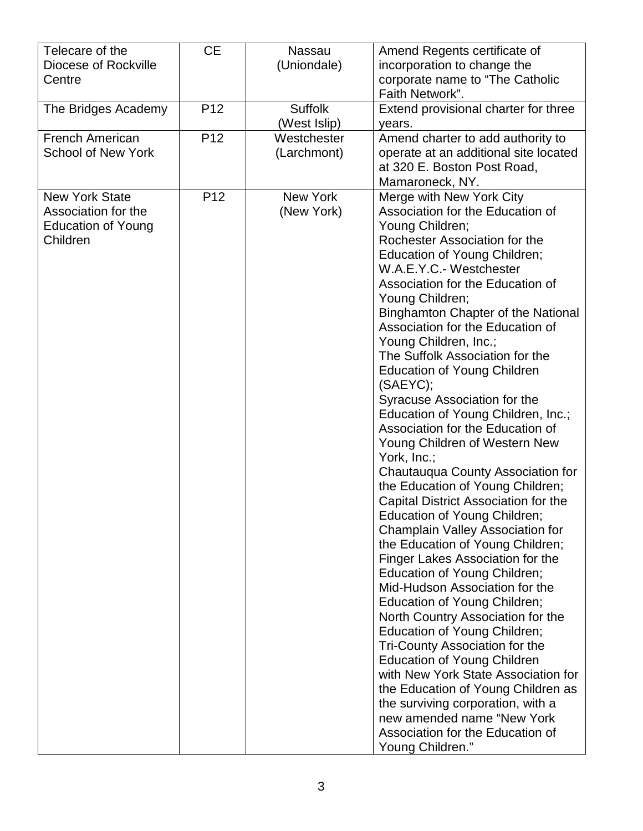| Telecare of the<br>Diocese of Rockville<br>Centre                                     | <b>CE</b>       | <b>Nassau</b><br>(Uniondale)   | Amend Regents certificate of<br>incorporation to change the<br>corporate name to "The Catholic<br>Faith Network".                                                                                                                                                                                                                                                                                                                                                                                                                                                                                                                                                                                                                                                                                                                                                                                                                                                                                                                                                                                                                                                                                                                                                                                                      |
|---------------------------------------------------------------------------------------|-----------------|--------------------------------|------------------------------------------------------------------------------------------------------------------------------------------------------------------------------------------------------------------------------------------------------------------------------------------------------------------------------------------------------------------------------------------------------------------------------------------------------------------------------------------------------------------------------------------------------------------------------------------------------------------------------------------------------------------------------------------------------------------------------------------------------------------------------------------------------------------------------------------------------------------------------------------------------------------------------------------------------------------------------------------------------------------------------------------------------------------------------------------------------------------------------------------------------------------------------------------------------------------------------------------------------------------------------------------------------------------------|
| The Bridges Academy                                                                   | P <sub>12</sub> | <b>Suffolk</b><br>(West Islip) | Extend provisional charter for three<br>years.                                                                                                                                                                                                                                                                                                                                                                                                                                                                                                                                                                                                                                                                                                                                                                                                                                                                                                                                                                                                                                                                                                                                                                                                                                                                         |
| <b>French American</b><br><b>School of New York</b>                                   | P <sub>12</sub> | Westchester<br>(Larchmont)     | Amend charter to add authority to<br>operate at an additional site located<br>at 320 E. Boston Post Road,<br>Mamaroneck, NY.                                                                                                                                                                                                                                                                                                                                                                                                                                                                                                                                                                                                                                                                                                                                                                                                                                                                                                                                                                                                                                                                                                                                                                                           |
| <b>New York State</b><br>Association for the<br><b>Education of Young</b><br>Children | P <sub>12</sub> | New York<br>(New York)         | Merge with New York City<br>Association for the Education of<br>Young Children;<br>Rochester Association for the<br>Education of Young Children;<br>W.A.E.Y.C.- Westchester<br>Association for the Education of<br>Young Children;<br><b>Binghamton Chapter of the National</b><br>Association for the Education of<br>Young Children, Inc.;<br>The Suffolk Association for the<br><b>Education of Young Children</b><br>(SAEYC);<br>Syracuse Association for the<br>Education of Young Children, Inc.;<br>Association for the Education of<br>Young Children of Western New<br>York, Inc.;<br>Chautauqua County Association for<br>the Education of Young Children;<br>Capital District Association for the<br>Education of Young Children;<br><b>Champlain Valley Association for</b><br>the Education of Young Children;<br>Finger Lakes Association for the<br>Education of Young Children;<br>Mid-Hudson Association for the<br>Education of Young Children;<br>North Country Association for the<br>Education of Young Children;<br>Tri-County Association for the<br><b>Education of Young Children</b><br>with New York State Association for<br>the Education of Young Children as<br>the surviving corporation, with a<br>new amended name "New York<br>Association for the Education of<br>Young Children." |